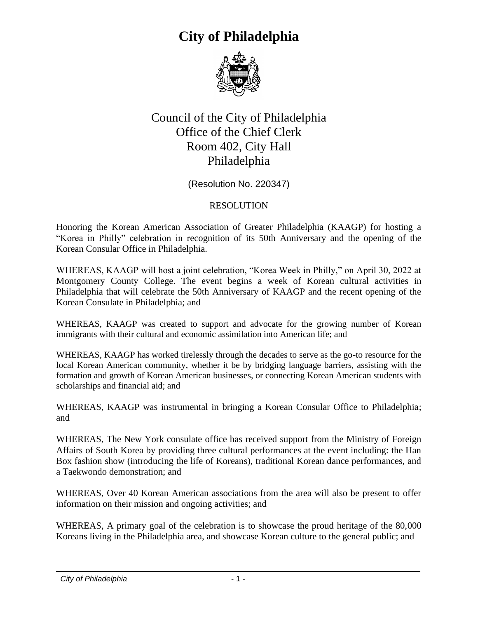

#### Council of the City of Philadelphia Office of the Chief Clerk Room 402, City Hall Philadelphia

(Resolution No. 220347)

#### RESOLUTION

Honoring the Korean American Association of Greater Philadelphia (KAAGP) for hosting a "Korea in Philly" celebration in recognition of its 50th Anniversary and the opening of the Korean Consular Office in Philadelphia.

WHEREAS, KAAGP will host a joint celebration, "Korea Week in Philly," on April 30, 2022 at Montgomery County College. The event begins a week of Korean cultural activities in Philadelphia that will celebrate the 50th Anniversary of KAAGP and the recent opening of the Korean Consulate in Philadelphia; and

WHEREAS, KAAGP was created to support and advocate for the growing number of Korean immigrants with their cultural and economic assimilation into American life; and

WHEREAS, KAAGP has worked tirelessly through the decades to serve as the go-to resource for the local Korean American community, whether it be by bridging language barriers, assisting with the formation and growth of Korean American businesses, or connecting Korean American students with scholarships and financial aid; and

WHEREAS, KAAGP was instrumental in bringing a Korean Consular Office to Philadelphia; and

WHEREAS, The New York consulate office has received support from the Ministry of Foreign Affairs of South Korea by providing three cultural performances at the event including: the Han Box fashion show (introducing the life of Koreans), traditional Korean dance performances, and a Taekwondo demonstration; and

WHEREAS, Over 40 Korean American associations from the area will also be present to offer information on their mission and ongoing activities; and

WHEREAS, A primary goal of the celebration is to showcase the proud heritage of the 80,000 Koreans living in the Philadelphia area, and showcase Korean culture to the general public; and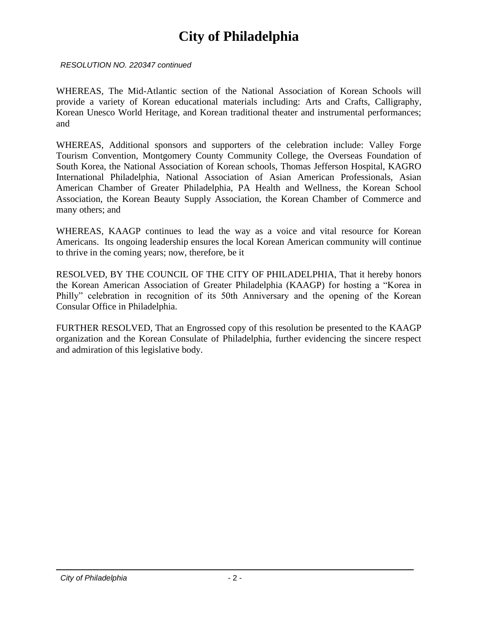*RESOLUTION NO. 220347 continued*

WHEREAS, The Mid-Atlantic section of the National Association of Korean Schools will provide a variety of Korean educational materials including: Arts and Crafts, Calligraphy, Korean Unesco World Heritage, and Korean traditional theater and instrumental performances; and

WHEREAS, Additional sponsors and supporters of the celebration include: Valley Forge Tourism Convention, Montgomery County Community College, the Overseas Foundation of South Korea, the National Association of Korean schools, Thomas Jefferson Hospital, KAGRO International Philadelphia, National Association of Asian American Professionals, Asian American Chamber of Greater Philadelphia, PA Health and Wellness, the Korean School Association, the Korean Beauty Supply Association, the Korean Chamber of Commerce and many others; and

WHEREAS, KAAGP continues to lead the way as a voice and vital resource for Korean Americans. Its ongoing leadership ensures the local Korean American community will continue to thrive in the coming years; now, therefore, be it

RESOLVED, BY THE COUNCIL OF THE CITY OF PHILADELPHIA, That it hereby honors the Korean American Association of Greater Philadelphia (KAAGP) for hosting a "Korea in Philly" celebration in recognition of its 50th Anniversary and the opening of the Korean Consular Office in Philadelphia.

FURTHER RESOLVED, That an Engrossed copy of this resolution be presented to the KAAGP organization and the Korean Consulate of Philadelphia, further evidencing the sincere respect and admiration of this legislative body.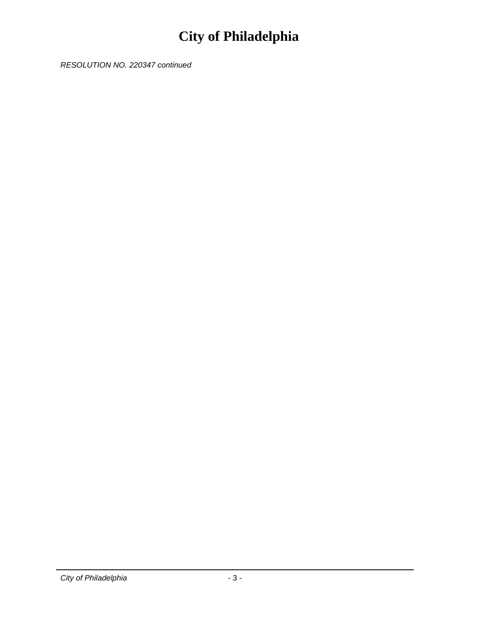*RESOLUTION NO. 220347 continued*